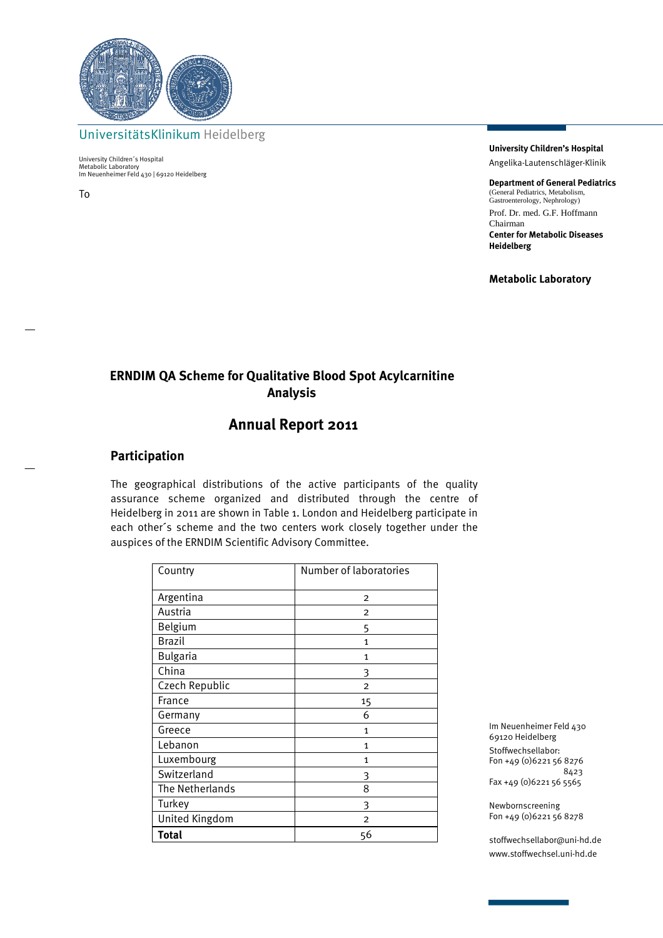

UniversitätsKlinikum Heidelberg

University Children´s Hospital Metabolic Laboratory Im Neuenheimer Feld 430 | 69120 Heidelberg

To

**University Children's Hospital**  Angelika-Lautenschläger-Klinik

**Department of General Pediatrics** (General Pediatrics, Metabolism, Gastroenterology, Nephrology) Prof. Dr. med. G.F. Hoffmann Chairman **Center for Metabolic Diseases Heidelberg** 

**Metabolic Laboratory** 

# **ERNDIM QA Scheme for Qualitative Blood Spot Acylcarnitine Analysis**

## **Annual Report 2011**

### **Participation**

The geographical distributions of the active participants of the quality assurance scheme organized and distributed through the centre of Heidelberg in 2011 are shown in Table 1. London and Heidelberg participate in each other´s scheme and the two centers work closely together under the auspices of the ERNDIM Scientific Advisory Committee.

| Country         | Number of laboratories |
|-----------------|------------------------|
| Argentina       | $\overline{2}$         |
| Austria         | $\overline{2}$         |
| Belgium         | 5                      |
| <b>Brazil</b>   | $\mathbf{1}$           |
| <b>Bulgaria</b> | 1                      |
| China           | 3                      |
| Czech Republic  | $\overline{2}$         |
| France          | 15                     |
| Germany         | 6                      |
| Greece          | 1                      |
| Lebanon         | 1                      |
| Luxembourg      | $\mathbf{1}$           |
| Switzerland     | 3                      |
| The Netherlands | 8                      |
| Turkey          | 3                      |
| United Kingdom  | $\overline{2}$         |
| <b>Total</b>    | 56                     |

Im Neuenheimer Feld 430 69120 Heidelberg Stoffwechsellabor: Fon +49 (0)6221 56 8276 8423 Fax +49 (0)6221 56 5565

Newbornscreening Fon +49 (0)6221 56 8278

stoffwechsellabor@uni-hd.de www.stoffwechsel.uni-hd.de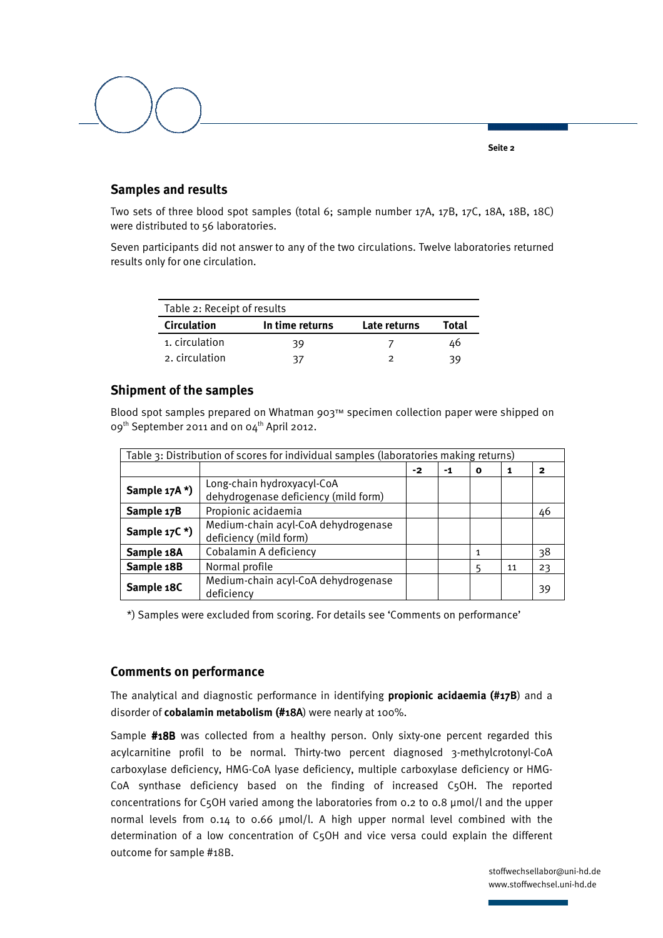

## **Samples and results**

Two sets of three blood spot samples (total 6; sample number 17A, 17B, 17C, 18A, 18B, 18C) were distributed to 56 laboratories.

Seven participants did not answer to any of the two circulations. Twelve laboratories returned results only for one circulation.

| Table 2: Receipt of results |                 |              |       |
|-----------------------------|-----------------|--------------|-------|
| <b>Circulation</b>          | In time returns | Late returns | Total |
| 1. circulation              | 39              |              | 46    |
| 2. circulation              | 37              |              | 39    |

## **Shipment of the samples**

Blood spot samples prepared on Whatman 903™ specimen collection paper were shipped on 09<sup>th</sup> September 2011 and on 04<sup>th</sup> April 2012.

| Table 3: Distribution of scores for individual samples (laboratories making returns) |                                                                    |    |    |   |    |    |
|--------------------------------------------------------------------------------------|--------------------------------------------------------------------|----|----|---|----|----|
|                                                                                      |                                                                    | -2 | -1 | 0 | 1  | 2  |
| Sample 17A*)                                                                         | Long-chain hydroxyacyl-CoA<br>dehydrogenase deficiency (mild form) |    |    |   |    |    |
| Sample 17B                                                                           | Propionic acidaemia                                                |    |    |   |    | 46 |
| Sample 17C*)                                                                         | Medium-chain acyl-CoA dehydrogenase<br>deficiency (mild form)      |    |    |   |    |    |
| Sample 18A                                                                           | Cobalamin A deficiency                                             |    |    |   |    | 38 |
| Sample 18B                                                                           | Normal profile                                                     |    |    | 5 | 11 | 23 |
| Sample 18C                                                                           | Medium-chain acyl-CoA dehydrogenase<br>deficiency                  |    |    |   |    | 39 |

\*) Samples were excluded from scoring. For details see 'Comments on performance'

## **Comments on performance**

The analytical and diagnostic performance in identifying **propionic acidaemia (#17B**) and a disorder of **cobalamin metabolism** (#18A) were nearly at 100%.

Sample #18B was collected from a healthy person. Only sixty-one percent regarded this acylcarnitine profil to be normal. Thirty-two percent diagnosed 3-methylcrotonyl-CoA carboxylase deficiency, HMG-CoA lyase deficiency, multiple carboxylase deficiency or HMG-CoA synthase deficiency based on the finding of increased C5OH. The reported concentrations for C5OH varied among the laboratories from 0.2 to 0.8 µmol/l and the upper normal levels from 0.14 to 0.66 µmol/l. A high upper normal level combined with the determination of a low concentration of C5OH and vice versa could explain the different outcome for sample #18B.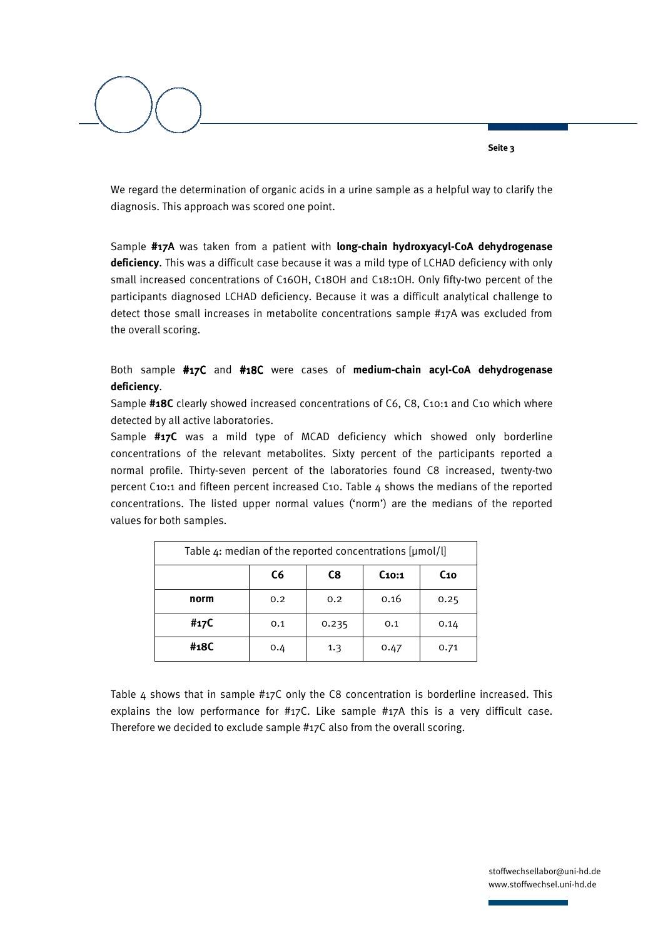We regard the determination of organic acids in a urine sample as a helpful way to clarify the diagnosis. This approach was scored one point.

Sample #17A was taken from a patient with **long-chain hydroxyacyl-CoA dehydrogenase deficiency**. This was a difficult case because it was a mild type of LCHAD deficiency with only small increased concentrations of C16OH, C18OH and C18:1OH. Only fifty-two percent of the participants diagnosed LCHAD deficiency. Because it was a difficult analytical challenge to detect those small increases in metabolite concentrations sample #17A was excluded from the overall scoring.

Both sample #17C and #18C were cases of **medium-chain acyl-CoA dehydrogenase deficiency**.

Sample **#18C** clearly showed increased concentrations of C6, C8, C10:1 and C10 which where detected by all active laboratories.

Sample **#17C** was a mild type of MCAD deficiency which showed only borderline concentrations of the relevant metabolites. Sixty percent of the participants reported a normal profile. Thirty-seven percent of the laboratories found C8 increased, twenty-two percent C10:1 and fifteen percent increased C10. Table  $4$  shows the medians of the reported concentrations. The listed upper normal values ('norm') are the medians of the reported values for both samples.

| Table $4$ : median of the reported concentrations [ $\mu$ mol/l] |     |       |                   |                 |
|------------------------------------------------------------------|-----|-------|-------------------|-----------------|
|                                                                  | C6  | C8    | C <sub>10:1</sub> | C <sub>10</sub> |
| norm                                                             | 0.2 | 0.2   | 0.16              | 0.25            |
| #17C                                                             | 0.1 | 0.235 | 0.1               | 0.14            |
| #18C                                                             | 0.4 | 1.3   | 0.47              | 0.71            |

Table 4 shows that in sample  $\#17C$  only the C8 concentration is borderline increased. This explains the low performance for #17C. Like sample #17A this is a very difficult case. Therefore we decided to exclude sample #17C also from the overall scoring.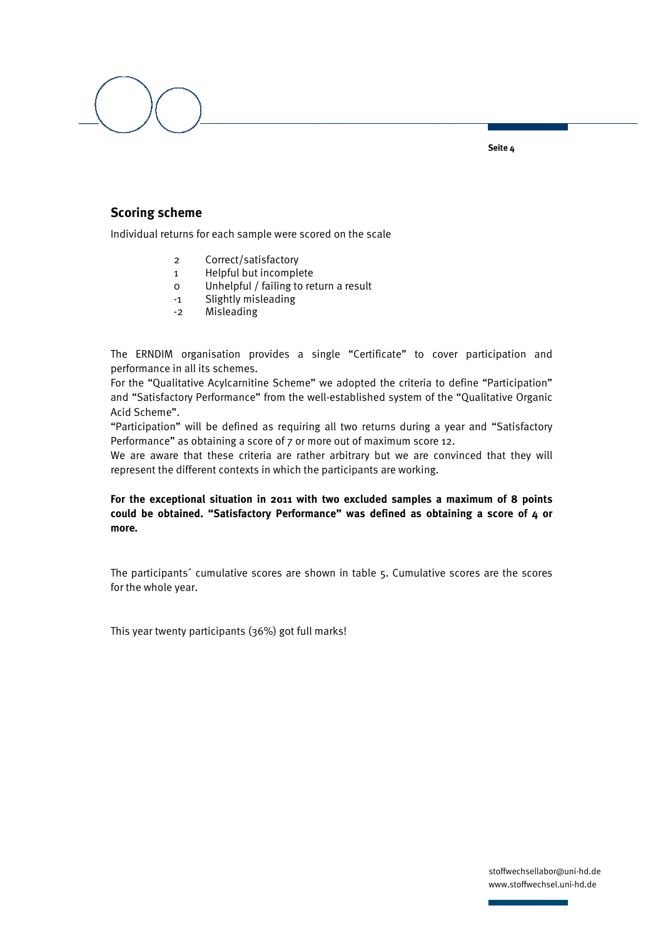

### **Scoring scheme**

Individual returns for each sample were scored on the scale

- 2 Correct/satisfactory
- 1 Helpful but incomplete
- 0 Unhelpful / failing to return a result
- -1 Slightly misleading
- -2 Misleading

The ERNDIM organisation provides a single "Certificate" to cover participation and performance in all its schemes.

For the "Qualitative Acylcarnitine Scheme" we adopted the criteria to define "Participation" and "Satisfactory Performance" from the well-established system of the "Qualitative Organic Acid Scheme".

"Participation" will be defined as requiring all two returns during a year and "Satisfactory Performance" as obtaining a score of 7 or more out of maximum score 12.

We are aware that these criteria are rather arbitrary but we are convinced that they will represent the different contexts in which the participants are working.

#### **For the exceptional situation in 2011 with two excluded samples a maximum of 8 points could be obtained. "Satisfactory Performance" was defined as obtaining a score of 4 or more.**

The participants´ cumulative scores are shown in table 5. Cumulative scores are the scores for the whole year.

This year twenty participants (36%) got full marks!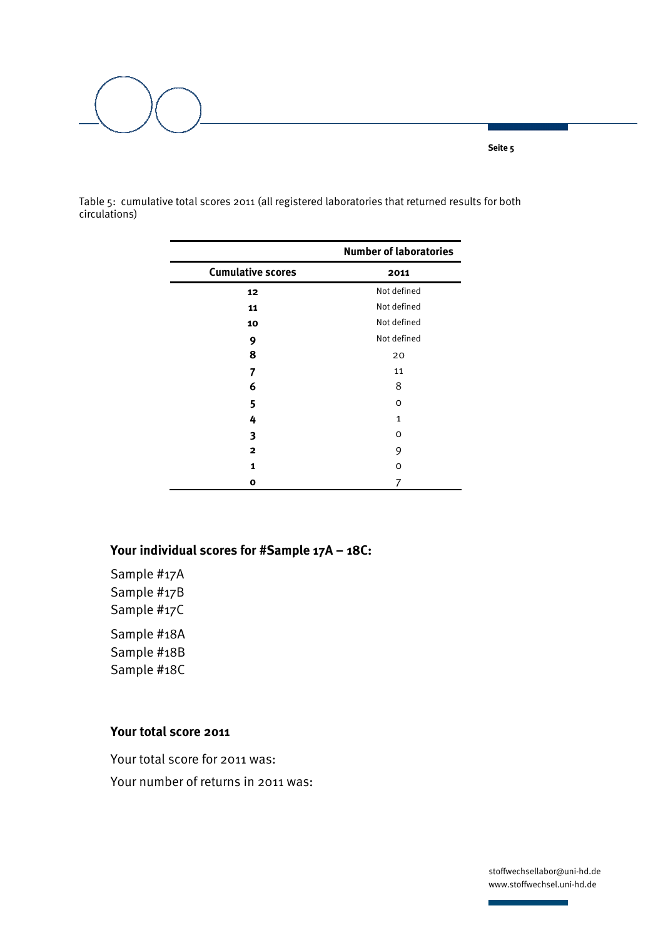

Table 5: cumulative total scores 2011 (all registered laboratories that returned results for both circulations)

|                          | <b>Number of laboratories</b> |
|--------------------------|-------------------------------|
| <b>Cumulative scores</b> | 2011                          |
| 12                       | Not defined                   |
| 11                       | Not defined                   |
| 10                       | Not defined                   |
| 9                        | Not defined                   |
| 8                        | 20                            |
| 7                        | 11                            |
| 6                        | 8                             |
| 5                        | O                             |
| 4                        | $\mathbf{1}$                  |
| 3                        | O                             |
| 2                        | 9                             |
| 1                        | $\Omega$                      |
| o                        | 7                             |

# **Your individual scores for #Sample 17A – 18C:**

Sample #17A Sample #17B Sample #17C Sample #18A Sample #18B Sample #18C

## **Your total score 2011**

Your total score for 2011 was: Your number of returns in 2011 was:

> stoffwechsellabor@uni-hd.de www.stoffwechsel.uni-hd.de